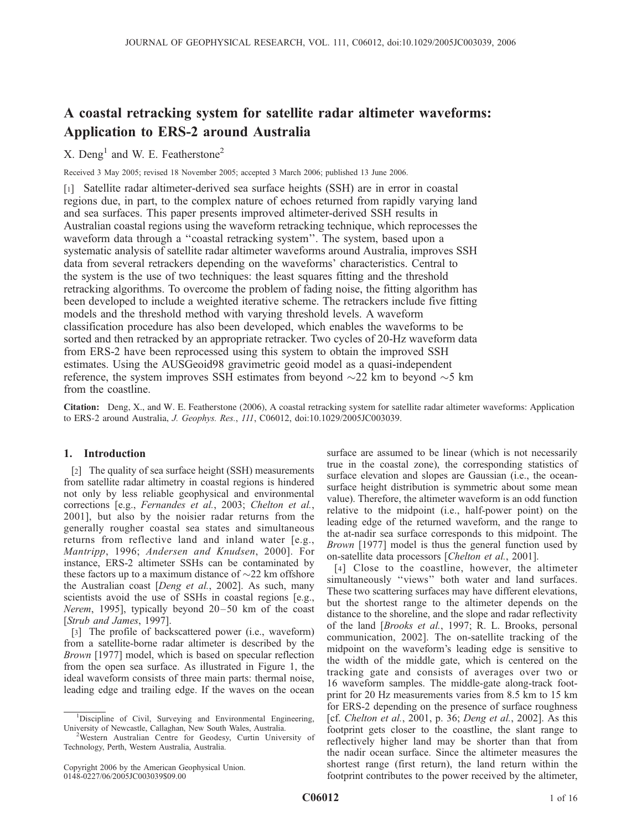# A coastal retracking system for satellite radar altimeter waveforms: Application to ERS-2 around Australia

# X. Deng<sup>1</sup> and W. E. Featherstone<sup>2</sup>

Received 3 May 2005; revised 18 November 2005; accepted 3 March 2006; published 13 June 2006.

[1] Satellite radar altimeter-derived sea surface heights (SSH) are in error in coastal regions due, in part, to the complex nature of echoes returned from rapidly varying land and sea surfaces. This paper presents improved altimeter-derived SSH results in Australian coastal regions using the waveform retracking technique, which reprocesses the waveform data through a ''coastal retracking system''. The system, based upon a systematic analysis of satellite radar altimeter waveforms around Australia, improves SSH data from several retrackers depending on the waveforms' characteristics. Central to the system is the use of two techniques: the least squares fitting and the threshold retracking algorithms. To overcome the problem of fading noise, the fitting algorithm has been developed to include a weighted iterative scheme. The retrackers include five fitting models and the threshold method with varying threshold levels. A waveform classification procedure has also been developed, which enables the waveforms to be sorted and then retracked by an appropriate retracker. Two cycles of 20-Hz waveform data from ERS-2 have been reprocessed using this system to obtain the improved SSH estimates. Using the AUSGeoid98 gravimetric geoid model as a quasi-independent reference, the system improves SSH estimates from beyond  $\sim$ 22 km to beyond  $\sim$ 5 km from the coastline.

Citation: Deng, X., and W. E. Featherstone (2006), A coastal retracking system for satellite radar altimeter waveforms: Application to ERS-2 around Australia, J. Geophys. Res., 111, C06012, doi:10.1029/2005JC003039.

# 1. Introduction

[2] The quality of sea surface height (SSH) measurements from satellite radar altimetry in coastal regions is hindered not only by less reliable geophysical and environmental corrections [e.g., Fernandes et al., 2003; Chelton et al., 2001], but also by the noisier radar returns from the generally rougher coastal sea states and simultaneous returns from reflective land and inland water [e.g., Mantripp, 1996; Andersen and Knudsen, 2000]. For instance, ERS-2 altimeter SSHs can be contaminated by these factors up to a maximum distance of  $\sim$ 22 km offshore the Australian coast [Deng et al., 2002]. As such, many scientists avoid the use of SSHs in coastal regions [e.g., *Nerem*, 1995], typically beyond  $20-50$  km of the coast [Strub and James, 1997].

[3] The profile of backscattered power (i.e., waveform) from a satellite-borne radar altimeter is described by the Brown [1977] model, which is based on specular reflection from the open sea surface. As illustrated in Figure 1, the ideal waveform consists of three main parts: thermal noise, leading edge and trailing edge. If the waves on the ocean

surface are assumed to be linear (which is not necessarily true in the coastal zone), the corresponding statistics of surface elevation and slopes are Gaussian (i.e., the oceansurface height distribution is symmetric about some mean value). Therefore, the altimeter waveform is an odd function relative to the midpoint (i.e., half-power point) on the leading edge of the returned waveform, and the range to the at-nadir sea surface corresponds to this midpoint. The Brown [1977] model is thus the general function used by on-satellite data processors [Chelton et al., 2001].

[4] Close to the coastline, however, the altimeter simultaneously ''views'' both water and land surfaces. These two scattering surfaces may have different elevations, but the shortest range to the altimeter depends on the distance to the shoreline, and the slope and radar reflectivity of the land [Brooks et al., 1997; R. L. Brooks, personal communication, 2002]. The on-satellite tracking of the midpoint on the waveform's leading edge is sensitive to the width of the middle gate, which is centered on the tracking gate and consists of averages over two or 16 waveform samples. The middle-gate along-track footprint for 20 Hz measurements varies from 8.5 km to 15 km for ERS-2 depending on the presence of surface roughness [cf. Chelton et al., 2001, p. 36; Deng et al., 2002]. As this footprint gets closer to the coastline, the slant range to reflectively higher land may be shorter than that from the nadir ocean surface. Since the altimeter measures the shortest range (first return), the land return within the footprint contributes to the power received by the altimeter,

<sup>&</sup>lt;sup>1</sup>Discipline of Civil, Surveying and Environmental Engineering, University of Newcastle, Callaghan, New South Wales, Australia. <sup>2</sup>

Western Australian Centre for Geodesy, Curtin University of Technology, Perth, Western Australia, Australia.

Copyright 2006 by the American Geophysical Union. 0148-0227/06/2005JC003039\$09.00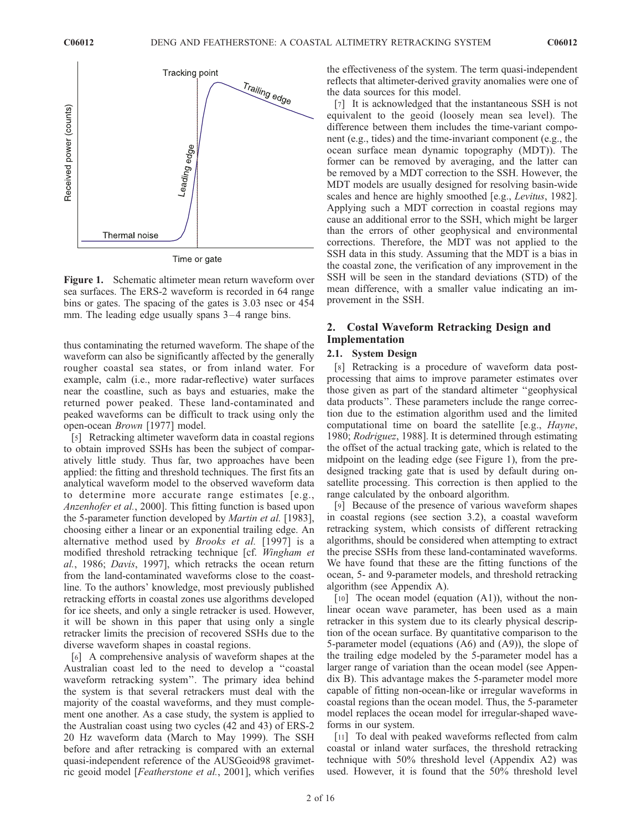

Figure 1. Schematic altimeter mean return waveform over sea surfaces. The ERS-2 waveform is recorded in 64 range bins or gates. The spacing of the gates is 3.03 nsec or 454 mm. The leading edge usually spans 3–4 range bins.

thus contaminating the returned waveform. The shape of the waveform can also be significantly affected by the generally rougher coastal sea states, or from inland water. For example, calm (i.e., more radar-reflective) water surfaces near the coastline, such as bays and estuaries, make the returned power peaked. These land-contaminated and peaked waveforms can be difficult to track using only the open-ocean Brown [1977] model.

[5] Retracking altimeter waveform data in coastal regions to obtain improved SSHs has been the subject of comparatively little study. Thus far, two approaches have been applied: the fitting and threshold techniques. The first fits an analytical waveform model to the observed waveform data to determine more accurate range estimates [e.g., Anzenhofer et al., 2000]. This fitting function is based upon the 5-parameter function developed by Martin et al. [1983], choosing either a linear or an exponential trailing edge. An alternative method used by Brooks et al. [1997] is a modified threshold retracking technique [cf. Wingham et al., 1986; Davis, 1997], which retracks the ocean return from the land-contaminated waveforms close to the coastline. To the authors' knowledge, most previously published retracking efforts in coastal zones use algorithms developed for ice sheets, and only a single retracker is used. However, it will be shown in this paper that using only a single retracker limits the precision of recovered SSHs due to the diverse waveform shapes in coastal regions.

[6] A comprehensive analysis of waveform shapes at the Australian coast led to the need to develop a ''coastal waveform retracking system''. The primary idea behind the system is that several retrackers must deal with the majority of the coastal waveforms, and they must complement one another. As a case study, the system is applied to the Australian coast using two cycles (42 and 43) of ERS-2 20 Hz waveform data (March to May 1999). The SSH before and after retracking is compared with an external quasi-independent reference of the AUSGeoid98 gravimetric geoid model [Featherstone et al., 2001], which verifies the effectiveness of the system. The term quasi-independent reflects that altimeter-derived gravity anomalies were one of the data sources for this model.

[7] It is acknowledged that the instantaneous SSH is not equivalent to the geoid (loosely mean sea level). The difference between them includes the time-variant component (e.g., tides) and the time-invariant component (e.g., the ocean surface mean dynamic topography (MDT)). The former can be removed by averaging, and the latter can be removed by a MDT correction to the SSH. However, the MDT models are usually designed for resolving basin-wide scales and hence are highly smoothed [e.g., *Levitus*, 1982]. Applying such a MDT correction in coastal regions may cause an additional error to the SSH, which might be larger than the errors of other geophysical and environmental corrections. Therefore, the MDT was not applied to the SSH data in this study. Assuming that the MDT is a bias in the coastal zone, the verification of any improvement in the SSH will be seen in the standard deviations (STD) of the mean difference, with a smaller value indicating an improvement in the SSH.

# 2. Costal Waveform Retracking Design and Implementation

## 2.1. System Design

[8] Retracking is a procedure of waveform data postprocessing that aims to improve parameter estimates over those given as part of the standard altimeter ''geophysical data products''. These parameters include the range correction due to the estimation algorithm used and the limited computational time on board the satellite [e.g., Hayne, 1980; Rodriguez, 1988]. It is determined through estimating the offset of the actual tracking gate, which is related to the midpoint on the leading edge (see Figure 1), from the predesigned tracking gate that is used by default during onsatellite processing. This correction is then applied to the range calculated by the onboard algorithm.

[9] Because of the presence of various waveform shapes in coastal regions (see section 3.2), a coastal waveform retracking system, which consists of different retracking algorithms, should be considered when attempting to extract the precise SSHs from these land-contaminated waveforms. We have found that these are the fitting functions of the ocean, 5- and 9-parameter models, and threshold retracking algorithm (see Appendix A).

[10] The ocean model (equation  $(A1)$ ), without the nonlinear ocean wave parameter, has been used as a main retracker in this system due to its clearly physical description of the ocean surface. By quantitative comparison to the 5-parameter model (equations (A6) and (A9)), the slope of the trailing edge modeled by the 5-parameter model has a larger range of variation than the ocean model (see Appendix B). This advantage makes the 5-parameter model more capable of fitting non-ocean-like or irregular waveforms in coastal regions than the ocean model. Thus, the 5-parameter model replaces the ocean model for irregular-shaped waveforms in our system.

[11] To deal with peaked waveforms reflected from calm coastal or inland water surfaces, the threshold retracking technique with 50% threshold level (Appendix A2) was used. However, it is found that the 50% threshold level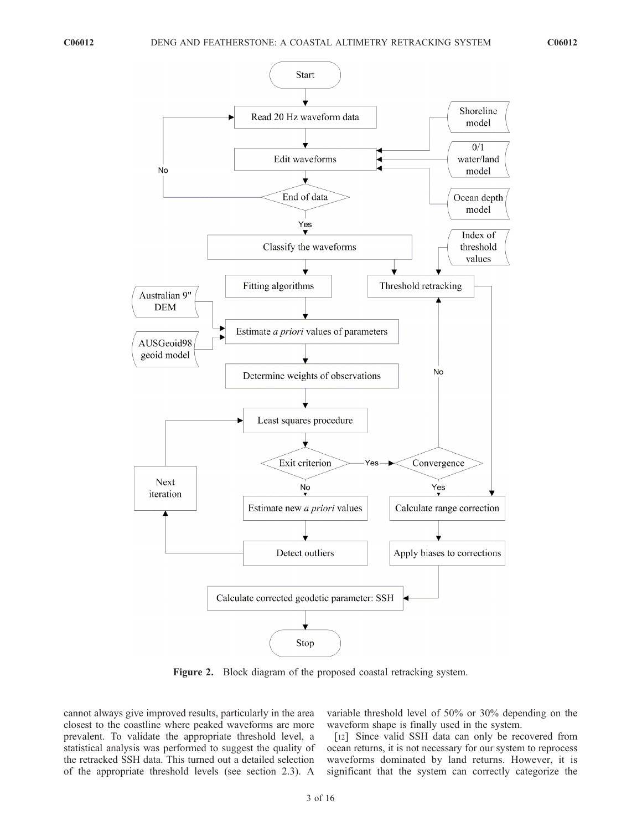

Figure 2. Block diagram of the proposed coastal retracking system.

cannot always give improved results, particularly in the area closest to the coastline where peaked waveforms are more prevalent. To validate the appropriate threshold level, a statistical analysis was performed to suggest the quality of the retracked SSH data. This turned out a detailed selection of the appropriate threshold levels (see section 2.3). A

variable threshold level of 50% or 30% depending on the waveform shape is finally used in the system.

[12] Since valid SSH data can only be recovered from ocean returns, it is not necessary for our system to reprocess waveforms dominated by land returns. However, it is significant that the system can correctly categorize the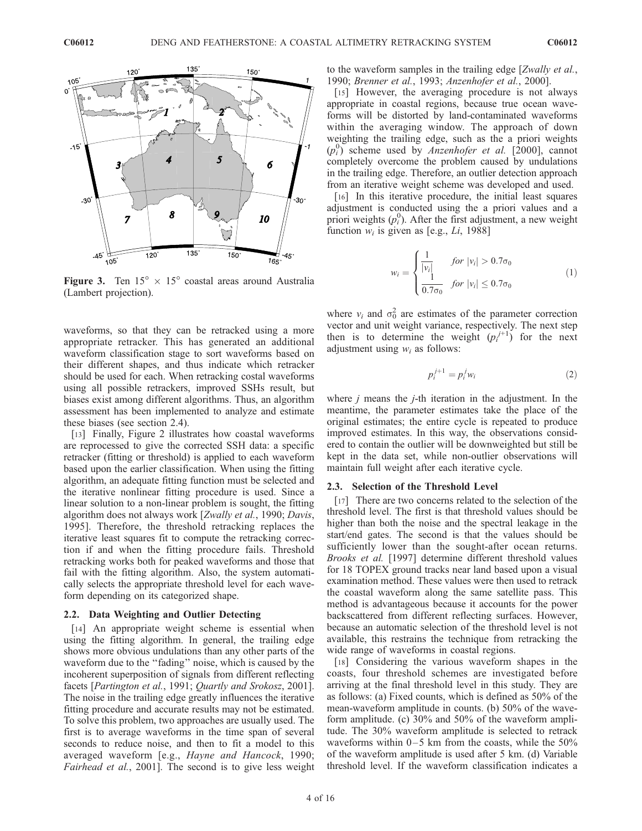

**Figure 3.** Ten  $15^{\circ} \times 15^{\circ}$  coastal areas around Australia (Lambert projection).

waveforms, so that they can be retracked using a more appropriate retracker. This has generated an additional waveform classification stage to sort waveforms based on their different shapes, and thus indicate which retracker should be used for each. When retracking costal waveforms using all possible retrackers, improved SSHs result, but biases exist among different algorithms. Thus, an algorithm assessment has been implemented to analyze and estimate these biases (see section 2.4).

[13] Finally, Figure 2 illustrates how coastal waveforms are reprocessed to give the corrected SSH data: a specific retracker (fitting or threshold) is applied to each waveform based upon the earlier classification. When using the fitting algorithm, an adequate fitting function must be selected and the iterative nonlinear fitting procedure is used. Since a linear solution to a non-linear problem is sought, the fitting algorithm does not always work [Zwally et al., 1990; Davis, 1995]. Therefore, the threshold retracking replaces the iterative least squares fit to compute the retracking correction if and when the fitting procedure fails. Threshold retracking works both for peaked waveforms and those that fail with the fitting algorithm. Also, the system automatically selects the appropriate threshold level for each waveform depending on its categorized shape.

#### 2.2. Data Weighting and Outlier Detecting

[14] An appropriate weight scheme is essential when using the fitting algorithm. In general, the trailing edge shows more obvious undulations than any other parts of the waveform due to the ''fading'' noise, which is caused by the incoherent superposition of signals from different reflecting facets [Partington et al., 1991; Quartly and Srokosz, 2001]. The noise in the trailing edge greatly influences the iterative fitting procedure and accurate results may not be estimated. To solve this problem, two approaches are usually used. The first is to average waveforms in the time span of several seconds to reduce noise, and then to fit a model to this averaged waveform [e.g., Hayne and Hancock, 1990; Fairhead et al., 2001]. The second is to give less weight to the waveform samples in the trailing edge [Zwally et al., 1990; Brenner et al., 1993; Anzenhofer et al., 2000].

[15] However, the averaging procedure is not always appropriate in coastal regions, because true ocean waveforms will be distorted by land-contaminated waveforms within the averaging window. The approach of down weighting the trailing edge, such as the a priori weights  $(p_i^0)$  scheme used by Anzenhofer et al. [2000], cannot completely overcome the problem caused by undulations in the trailing edge. Therefore, an outlier detection approach from an iterative weight scheme was developed and used.

[16] In this iterative procedure, the initial least squares adjustment is conducted using the a priori values and a priori weights  $(p_i^0)$ . After the first adjustment, a new weight function  $w_i$  is given as [e.g., *Li*, 1988]

$$
w_{i} = \begin{cases} \frac{1}{|v_{i}|} & \text{for } |v_{i}| > 0.7\sigma_{0} \\ \frac{1}{0.7\sigma_{0}} & \text{for } |v_{i}| \le 0.7\sigma_{0} \end{cases}
$$
(1)

where  $v_i$  and  $\sigma_0^2$  are estimates of the parameter correction vector and unit weight variance, respectively. The next step then is to determine the weight  $(p_i^{j+1})$  for the next adjustment using  $w_i$  as follows:

$$
p_i^{j+1} = p_i^j w_i \tag{2}
$$

where  $j$  means the  $j$ -th iteration in the adjustment. In the meantime, the parameter estimates take the place of the original estimates; the entire cycle is repeated to produce improved estimates. In this way, the observations considered to contain the outlier will be downweighted but still be kept in the data set, while non-outlier observations will maintain full weight after each iterative cycle.

#### 2.3. Selection of the Threshold Level

[17] There are two concerns related to the selection of the threshold level. The first is that threshold values should be higher than both the noise and the spectral leakage in the start/end gates. The second is that the values should be sufficiently lower than the sought-after ocean returns. Brooks et al. [1997] determine different threshold values for 18 TOPEX ground tracks near land based upon a visual examination method. These values were then used to retrack the coastal waveform along the same satellite pass. This method is advantageous because it accounts for the power backscattered from different reflecting surfaces. However, because an automatic selection of the threshold level is not available, this restrains the technique from retracking the wide range of waveforms in coastal regions.

[18] Considering the various waveform shapes in the coasts, four threshold schemes are investigated before arriving at the final threshold level in this study. They are as follows: (a) Fixed counts, which is defined as 50% of the mean-waveform amplitude in counts. (b) 50% of the waveform amplitude. (c) 30% and 50% of the waveform amplitude. The 30% waveform amplitude is selected to retrack waveforms within  $0-5$  km from the coasts, while the 50% of the waveform amplitude is used after 5 km. (d) Variable threshold level. If the waveform classification indicates a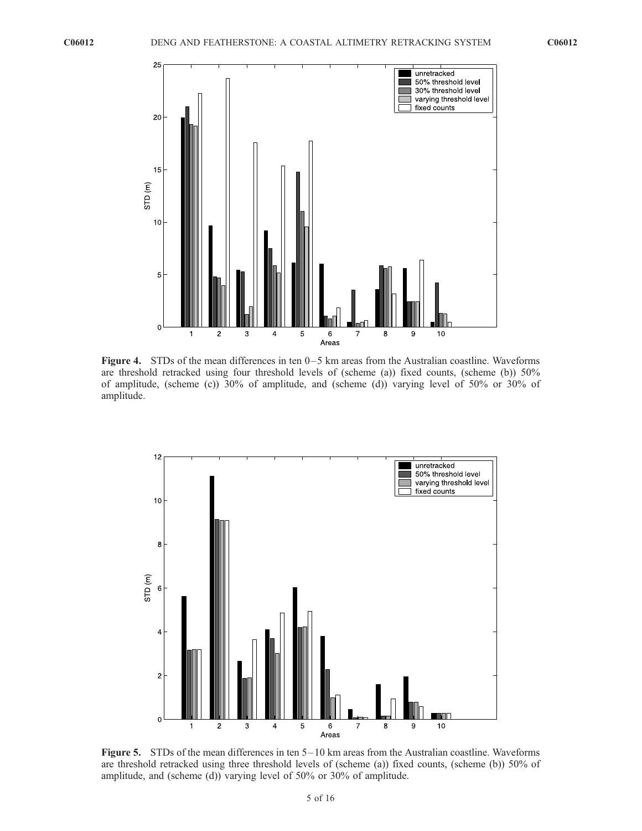

**Figure 4.** STDs of the mean differences in ten  $0-5$  km areas from the Australian coastline. Waveforms are threshold retracked using four threshold levels of (scheme (a)) fixed counts, (scheme (b)) 50% of amplitude, (scheme (c)) 30% of amplitude, and (scheme (d)) varying level of 50% or 30% of amplitude.



**Figure 5.** STDs of the mean differences in ten  $5-10$  km areas from the Australian coastline. Waveforms are threshold retracked using three threshold levels of (scheme (a)) fixed counts, (scheme (b)) 50% of amplitude, and (scheme (d)) varying level of 50% or 30% of amplitude.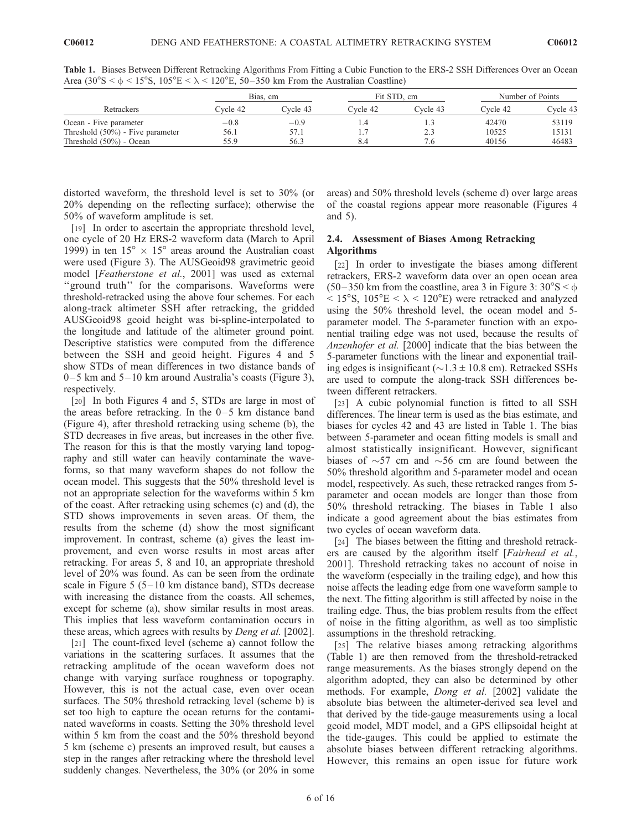|                                     |          | Bias, cm |          | Fit STD, cm | Number of Points |          |
|-------------------------------------|----------|----------|----------|-------------|------------------|----------|
| Retrackers                          | Cvcle 42 | Cvcle 43 | Cvcle 42 | Cvcle 43    | Cvcle 42         | Cycle 43 |
| Ocean - Five parameter              | $-0.8$   | $-0.9$   |          |             | 42470            | 53119    |
| Threshold $(50\%)$ - Five parameter | 56.1     | 57.1     |          | 2.3         | 10525            | 15131    |
| Threshold $(50\%)$ - Ocean          | 55.9     | 56.3     | 8.4      | 6.′         | 40156            | 46483    |

Table 1. Biases Between Different Retracking Algorithms From Fitting a Cubic Function to the ERS-2 SSH Differences Over an Ocean Area (30°S <  $\phi$  < 15°S, 105°E <  $\lambda$  < 120°E, 50–350 km From the Australian Coastline)

distorted waveform, the threshold level is set to 30% (or 20% depending on the reflecting surface); otherwise the 50% of waveform amplitude is set.

[19] In order to ascertain the appropriate threshold level, one cycle of 20 Hz ERS-2 waveform data (March to April 1999) in ten  $15^{\circ} \times 15^{\circ}$  areas around the Australian coast were used (Figure 3). The AUSGeoid98 gravimetric geoid model [Featherstone et al., 2001] was used as external "ground truth" for the comparisons. Waveforms were threshold-retracked using the above four schemes. For each along-track altimeter SSH after retracking, the gridded AUSGeoid98 geoid height was bi-spline-interpolated to the longitude and latitude of the altimeter ground point. Descriptive statistics were computed from the difference between the SSH and geoid height. Figures 4 and 5 show STDs of mean differences in two distance bands of  $0-5$  km and  $5-10$  km around Australia's coasts (Figure 3), respectively.

[20] In both Figures 4 and 5, STDs are large in most of the areas before retracking. In the  $0-5$  km distance band (Figure 4), after threshold retracking using scheme (b), the STD decreases in five areas, but increases in the other five. The reason for this is that the mostly varying land topography and still water can heavily contaminate the waveforms, so that many waveform shapes do not follow the ocean model. This suggests that the 50% threshold level is not an appropriate selection for the waveforms within 5 km of the coast. After retracking using schemes (c) and (d), the STD shows improvements in seven areas. Of them, the results from the scheme (d) show the most significant improvement. In contrast, scheme (a) gives the least improvement, and even worse results in most areas after retracking. For areas 5, 8 and 10, an appropriate threshold level of 20% was found. As can be seen from the ordinate scale in Figure  $5(5-10 \text{ km})$  distance band), STDs decrease with increasing the distance from the coasts. All schemes, except for scheme (a), show similar results in most areas. This implies that less waveform contamination occurs in these areas, which agrees with results by *Deng et al.* [2002].

[21] The count-fixed level (scheme a) cannot follow the variations in the scattering surfaces. It assumes that the retracking amplitude of the ocean waveform does not change with varying surface roughness or topography. However, this is not the actual case, even over ocean surfaces. The 50% threshold retracking level (scheme b) is set too high to capture the ocean returns for the contaminated waveforms in coasts. Setting the 30% threshold level within 5 km from the coast and the 50% threshold beyond 5 km (scheme c) presents an improved result, but causes a step in the ranges after retracking where the threshold level suddenly changes. Nevertheless, the 30% (or 20% in some

areas) and 50% threshold levels (scheme d) over large areas of the coastal regions appear more reasonable (Figures 4 and 5).

# 2.4. Assessment of Biases Among Retracking Algorithms

[22] In order to investigate the biases among different retrackers, ERS-2 waveform data over an open ocean area  $(50-350 \text{ km from the coastline, area } 3 \text{ in Figure 3: } 30^{\circ}\text{S} < \phi$  $< 15^{\circ}$ S, 105 $^{\circ}$ E  $< \lambda < 120^{\circ}$ E) were retracked and analyzed using the 50% threshold level, the ocean model and 5 parameter model. The 5-parameter function with an exponential trailing edge was not used, because the results of Anzenhofer et al. [2000] indicate that the bias between the 5-parameter functions with the linear and exponential trailing edges is insignificant ( $\sim$ 1.3  $\pm$  10.8 cm). Retracked SSHs are used to compute the along-track SSH differences between different retrackers.

[23] A cubic polynomial function is fitted to all SSH differences. The linear term is used as the bias estimate, and biases for cycles 42 and 43 are listed in Table 1. The bias between 5-parameter and ocean fitting models is small and almost statistically insignificant. However, significant biases of  $\sim$ 57 cm and  $\sim$ 56 cm are found between the 50% threshold algorithm and 5-parameter model and ocean model, respectively. As such, these retracked ranges from 5 parameter and ocean models are longer than those from 50% threshold retracking. The biases in Table 1 also indicate a good agreement about the bias estimates from two cycles of ocean waveform data.

[24] The biases between the fitting and threshold retrackers are caused by the algorithm itself [Fairhead et al., 2001]. Threshold retracking takes no account of noise in the waveform (especially in the trailing edge), and how this noise affects the leading edge from one waveform sample to the next. The fitting algorithm is still affected by noise in the trailing edge. Thus, the bias problem results from the effect of noise in the fitting algorithm, as well as too simplistic assumptions in the threshold retracking.

[25] The relative biases among retracking algorithms (Table 1) are then removed from the threshold-retracked range measurements. As the biases strongly depend on the algorithm adopted, they can also be determined by other methods. For example, Dong et al. [2002] validate the absolute bias between the altimeter-derived sea level and that derived by the tide-gauge measurements using a local geoid model, MDT model, and a GPS ellipsoidal height at the tide-gauges. This could be applied to estimate the absolute biases between different retracking algorithms. However, this remains an open issue for future work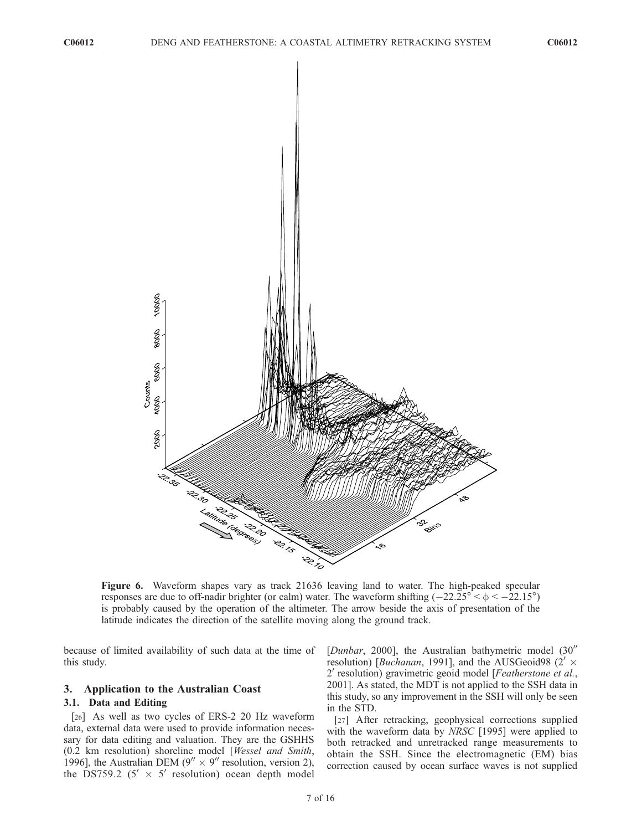

Figure 6. Waveform shapes vary as track 21636 leaving land to water. The high-peaked specular responses are due to off-nadir brighter (or calm) water. The waveform shifting  $(-22.25^{\circ} < \phi < -22.15^{\circ})$ is probably caused by the operation of the altimeter. The arrow beside the axis of presentation of the latitude indicates the direction of the satellite moving along the ground track.

because of limited availability of such data at the time of this study.

#### 3. Application to the Australian Coast

#### 3.1. Data and Editing

[26] As well as two cycles of ERS-2 20 Hz waveform data, external data were used to provide information necessary for data editing and valuation. They are the GSHHS (0.2 km resolution) shoreline model [Wessel and Smith, 1996], the Australian DEM ( $9'' \times 9''$  resolution, version 2), the DS759.2 (5<sup> $\prime$ </sup>  $\times$  5<sup> $\prime$ </sup> resolution) ocean depth model [Dunbar, 2000], the Australian bathymetric model  $(30<sup>′</sup>)$ resolution) [*Buchanan*, 1991], and the AUSGeoid98 (2'  $\times$ 2' resolution) gravimetric geoid model [Featherstone et al., 2001]. As stated, the MDT is not applied to the SSH data in this study, so any improvement in the SSH will only be seen in the STD.

[27] After retracking, geophysical corrections supplied with the waveform data by NRSC [1995] were applied to both retracked and unretracked range measurements to obtain the SSH. Since the electromagnetic (EM) bias correction caused by ocean surface waves is not supplied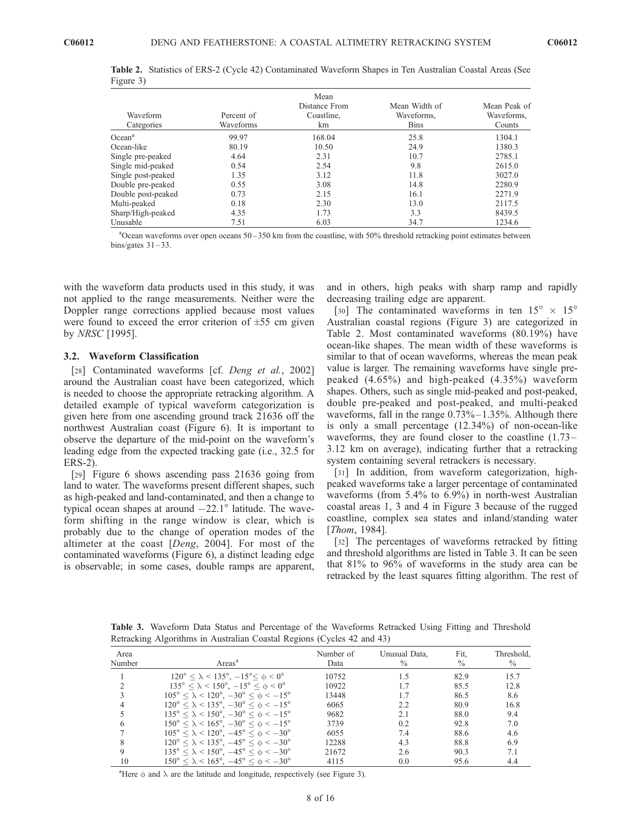| Waveform<br>Categories | Percent of<br>Waveforms | Mean<br>Distance From<br>Coastline,<br>km | Mean Width of<br>Waveforms,<br><b>Bins</b> | Mean Peak of<br>Waveforms.<br>Counts |
|------------------------|-------------------------|-------------------------------------------|--------------------------------------------|--------------------------------------|
| Ocean <sup>a</sup>     | 99.97                   | 168.04                                    | 25.8                                       | 1304.1                               |
| Ocean-like             | 80.19                   | 10.50                                     | 24.9                                       | 1380.3                               |
| Single pre-peaked      | 4.64                    | 2.31                                      | 10.7                                       | 2785.1                               |
| Single mid-peaked      | 0.54                    | 2.54                                      | 9.8                                        | 2615.0                               |
| Single post-peaked     | 1.35                    | 3.12                                      | 11.8                                       | 3027.0                               |
| Double pre-peaked      | 0.55                    | 3.08                                      | 14.8                                       | 2280.9                               |
| Double post-peaked     | 0.73                    | 2.15                                      | 16.1                                       | 2271.9                               |
| Multi-peaked           | 0.18                    | 2.30                                      | 13.0                                       | 2117.5                               |
| Sharp/High-peaked      | 4.35                    | 1.73                                      | 3.3                                        | 8439.5                               |
| Unusable               | 7.51                    | 6.03                                      | 34.7                                       | 1234.6                               |

Table 2. Statistics of ERS-2 (Cycle 42) Contaminated Waveform Shapes in Ten Australian Coastal Areas (See Figure 3)

<sup>a</sup>Ocean waveforms over open oceans 50–350 km from the coastline, with 50% threshold retracking point estimates between bins/gates  $31 - 33$ .

with the waveform data products used in this study, it was not applied to the range measurements. Neither were the Doppler range corrections applied because most values were found to exceed the error criterion of  $\pm 55$  cm given by NRSC [1995].

## 3.2. Waveform Classification

[28] Contaminated waveforms [cf. Deng et al., 2002] around the Australian coast have been categorized, which is needed to choose the appropriate retracking algorithm. A detailed example of typical waveform categorization is given here from one ascending ground track 21636 off the northwest Australian coast (Figure 6). It is important to observe the departure of the mid-point on the waveform's leading edge from the expected tracking gate (i.e., 32.5 for ERS-2).

[29] Figure 6 shows ascending pass 21636 going from land to water. The waveforms present different shapes, such as high-peaked and land-contaminated, and then a change to typical ocean shapes at around  $-22.1^{\circ}$  latitude. The waveform shifting in the range window is clear, which is probably due to the change of operation modes of the altimeter at the coast [Deng, 2004]. For most of the contaminated waveforms (Figure 6), a distinct leading edge is observable; in some cases, double ramps are apparent, and in others, high peaks with sharp ramp and rapidly decreasing trailing edge are apparent.

[30] The contaminated waveforms in ten  $15^{\circ} \times 15^{\circ}$ Australian coastal regions (Figure 3) are categorized in Table 2. Most contaminated waveforms (80.19%) have ocean-like shapes. The mean width of these waveforms is similar to that of ocean waveforms, whereas the mean peak value is larger. The remaining waveforms have single prepeaked (4.65%) and high-peaked (4.35%) waveform shapes. Others, such as single mid-peaked and post-peaked, double pre-peaked and post-peaked, and multi-peaked waveforms, fall in the range  $0.73\% - 1.35\%$ . Although there is only a small percentage (12.34%) of non-ocean-like waveforms, they are found closer to the coastline (1.73– 3.12 km on average), indicating further that a retracking system containing several retrackers is necessary.

[31] In addition, from waveform categorization, highpeaked waveforms take a larger percentage of contaminated waveforms (from 5.4% to 6.9%) in north-west Australian coastal areas 1, 3 and 4 in Figure 3 because of the rugged coastline, complex sea states and inland/standing water [Thom, 1984].

[32] The percentages of waveforms retracked by fitting and threshold algorithms are listed in Table 3. It can be seen that 81% to 96% of waveforms in the study area can be retracked by the least squares fitting algorithm. The rest of

Table 3. Waveform Data Status and Percentage of the Waveforms Retracked Using Fitting and Threshold Retracking Algorithms in Australian Coastal Regions (Cycles 42 and 43)

| Area<br>Number | Areas <sup>a</sup>                                                      | Number of<br>Data | Unusual Data,<br>$\%$ | Fit,<br>$\%$ | Threshold,<br>$\%$ |
|----------------|-------------------------------------------------------------------------|-------------------|-----------------------|--------------|--------------------|
|                | $120^{\circ} < \lambda < 135^{\circ}, -15^{\circ} < \phi < 0^{\circ}$   | 10752             | 1.5                   | 82.9         | 15.7               |
| $\mathcal{L}$  | $135^{\circ} < \lambda < 150^{\circ}, -15^{\circ} < \phi < 0^{\circ}$   | 10922             | 1.7                   | 85.5         | 12.8               |
| 3              | $105^{\circ} < \lambda < 120^{\circ}, -30^{\circ} < \phi < -15^{\circ}$ | 13448             | 1.7                   | 86.5         | 8.6                |
| 4              | $120^{\circ} < \lambda < 135^{\circ}, -30^{\circ} < \phi < -15^{\circ}$ | 6065              | 2.2                   | 80.9         | 16.8               |
|                | $135^{\circ} < \lambda < 150^{\circ}, -30^{\circ} < \phi < -15^{\circ}$ | 9682              | 2.1                   | 88.0         | 9.4                |
| 6              | $150^{\circ} < \lambda < 165^{\circ}, -30^{\circ} < \phi < -15^{\circ}$ | 3739              | 0.2                   | 92.8         | 7.0                |
|                | $105^{\circ} < \lambda < 120^{\circ}, -45^{\circ} < \phi < -30^{\circ}$ | 6055              | 7.4                   | 88.6         | 4.6                |
| 8              | $120^{\circ} < \lambda < 135^{\circ}, -45^{\circ} < \phi < -30^{\circ}$ | 12288             | 4.3                   | 88.8         | 6.9                |
| 9              | $135^{\circ} < \lambda < 150^{\circ}, -45^{\circ} < \phi < -30^{\circ}$ | 21672             | 2.6                   | 90.3         | 7.1                |
| 10             | $150^{\circ} < \lambda < 165^{\circ}, -45^{\circ} < \phi < -30^{\circ}$ | 4115              | 0.0                   | 95.6         | 4.4                |

<sup>a</sup>Here  $\phi$  and  $\lambda$  are the latitude and longitude, respectively (see Figure 3).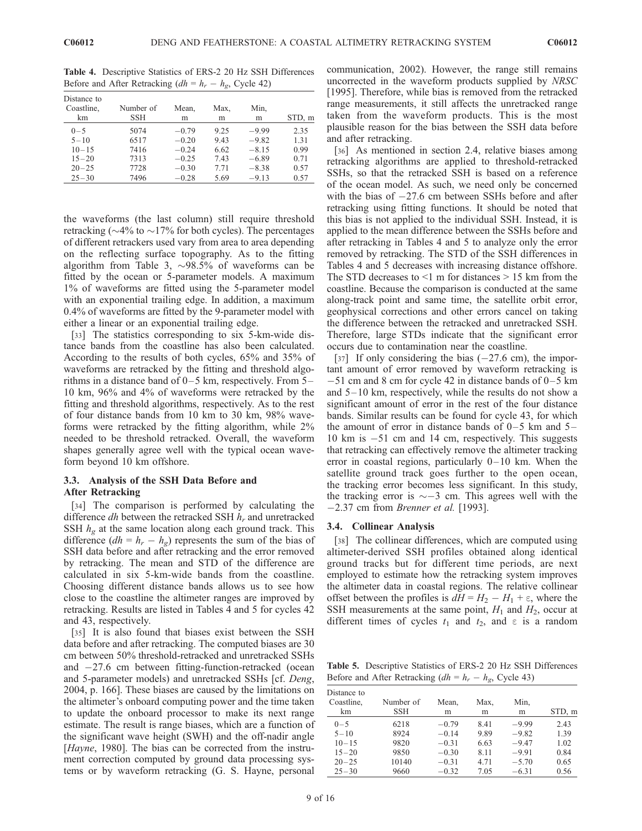| Distance to<br>Coastline,<br>km | Number of<br>SSH | Mean.<br>m | Max.<br>m | Min,<br>m | STD, m |
|---------------------------------|------------------|------------|-----------|-----------|--------|
| $0 - 5$                         | 5074             | $-0.79$    | 9.25      | $-9.99$   | 2.35   |
| $5 - 10$                        | 6517             | $-0.20$    | 9.43      | $-9.82$   | 1.31   |
| $10 - 15$                       | 7416             | $-0.24$    | 6.62      | $-8.15$   | 0.99   |
| $15 - 20$                       | 7313             | $-0.25$    | 7.43      | $-6.89$   | 0.71   |
| $20 - 25$                       | 7728             | $-0.30$    | 7.71      | $-8.38$   | 0.57   |
| $25 - 30$                       | 7496             | $-0.28$    | 5.69      | $-9.13$   | 0.57   |

Table 4. Descriptive Statistics of ERS-2 20 Hz SSH Differences Before and After Retracking  $(dh = h_r - h_g,$  Cycle 42)

the waveforms (the last column) still require threshold retracking ( $\sim$ 4% to  $\sim$ 17% for both cycles). The percentages of different retrackers used vary from area to area depending on the reflecting surface topography. As to the fitting algorithm from Table 3,  $\sim$ 98.5% of waveforms can be fitted by the ocean or 5-parameter models. A maximum 1% of waveforms are fitted using the 5-parameter model with an exponential trailing edge. In addition, a maximum 0.4% of waveforms are fitted by the 9-parameter model with either a linear or an exponential trailing edge.

[33] The statistics corresponding to six 5-km-wide distance bands from the coastline has also been calculated. According to the results of both cycles, 65% and 35% of waveforms are retracked by the fitting and threshold algorithms in a distance band of  $0-5$  km, respectively. From  $5-$ 10 km, 96% and 4% of waveforms were retracked by the fitting and threshold algorithms, respectively. As to the rest of four distance bands from 10 km to 30 km, 98% waveforms were retracked by the fitting algorithm, while 2% needed to be threshold retracked. Overall, the waveform shapes generally agree well with the typical ocean waveform beyond 10 km offshore.

#### 3.3. Analysis of the SSH Data Before and After Retracking

[34] The comparison is performed by calculating the difference  $dh$  between the retracked SSH  $h_r$  and unretracked SSH  $h_{\sigma}$  at the same location along each ground track. This difference  $(dh = h_r - h_g)$  represents the sum of the bias of SSH data before and after retracking and the error removed by retracking. The mean and STD of the difference are calculated in six 5-km-wide bands from the coastline. Choosing different distance bands allows us to see how close to the coastline the altimeter ranges are improved by retracking. Results are listed in Tables 4 and 5 for cycles 42 and 43, respectively.

[35] It is also found that biases exist between the SSH data before and after retracking. The computed biases are 30 cm between 50% threshold-retracked and unretracked SSHs and  $-27.6$  cm between fitting-function-retracked (ocean and 5-parameter models) and unretracked SSHs [cf. Deng, 2004, p. 166]. These biases are caused by the limitations on the altimeter's onboard computing power and the time taken to update the onboard processor to make its next range estimate. The result is range biases, which are a function of the significant wave height (SWH) and the off-nadir angle [*Hayne*, 1980]. The bias can be corrected from the instrument correction computed by ground data processing systems or by waveform retracking (G. S. Hayne, personal

communication, 2002). However, the range still remains uncorrected in the waveform products supplied by NRSC [1995]. Therefore, while bias is removed from the retracked range measurements, it still affects the unretracked range taken from the waveform products. This is the most plausible reason for the bias between the SSH data before and after retracking.

[36] As mentioned in section 2.4, relative biases among retracking algorithms are applied to threshold-retracked SSHs, so that the retracked SSH is based on a reference of the ocean model. As such, we need only be concerned with the bias of  $-27.6$  cm between SSHs before and after retracking using fitting functions. It should be noted that this bias is not applied to the individual SSH. Instead, it is applied to the mean difference between the SSHs before and after retracking in Tables 4 and 5 to analyze only the error removed by retracking. The STD of the SSH differences in Tables 4 and 5 decreases with increasing distance offshore. The STD decreases to  $\leq 1$  m for distances  $> 15$  km from the coastline. Because the comparison is conducted at the same along-track point and same time, the satellite orbit error, geophysical corrections and other errors cancel on taking the difference between the retracked and unretracked SSH. Therefore, large STDs indicate that the significant error occurs due to contamination near the coastline.

[37] If only considering the bias  $(-27.6 \text{ cm})$ , the important amount of error removed by waveform retracking is  $-51$  cm and 8 cm for cycle 42 in distance bands of  $0-5$  km and  $5-10$  km, respectively, while the results do not show a significant amount of error in the rest of the four distance bands. Similar results can be found for cycle 43, for which the amount of error in distance bands of  $0-5$  km and  $5-$ 10 km is  $-51$  cm and 14 cm, respectively. This suggests that retracking can effectively remove the altimeter tracking error in coastal regions, particularly  $0-10$  km. When the satellite ground track goes further to the open ocean, the tracking error becomes less significant. In this study, the tracking error is  $\sim$  -3 cm. This agrees well with the  $-2.37$  cm from *Brenner et al.* [1993].

#### 3.4. Collinear Analysis

[38] The collinear differences, which are computed using altimeter-derived SSH profiles obtained along identical ground tracks but for different time periods, are next employed to estimate how the retracking system improves the altimeter data in coastal regions. The relative collinear offset between the profiles is  $dH = H_2 - H_1 + \epsilon$ , where the SSH measurements at the same point,  $H_1$  and  $H_2$ , occur at different times of cycles  $t_1$  and  $t_2$ , and  $\epsilon$  is a random

Table 5. Descriptive Statistics of ERS-2 20 Hz SSH Differences Before and After Retracking  $(dh = h_r - h_g,$  Cycle 43)

| Distance to<br>Coastline,<br>km                            | Number of<br><b>SSH</b>               | Mean,<br>m                                          | Max,<br>m                             | Min,<br>m                                           | STD, m                               |
|------------------------------------------------------------|---------------------------------------|-----------------------------------------------------|---------------------------------------|-----------------------------------------------------|--------------------------------------|
| $0 - 5$<br>$5 - 10$<br>$10 - 15$<br>$15 - 20$<br>$20 - 25$ | 6218<br>8924<br>9820<br>9850<br>10140 | $-0.79$<br>$-0.14$<br>$-0.31$<br>$-0.30$<br>$-0.31$ | 8.41<br>9.89<br>6.63<br>8 1 1<br>4.71 | $-9.99$<br>$-9.82$<br>$-9.47$<br>$-9.91$<br>$-5.70$ | 2.43<br>1.39<br>1.02<br>0.84<br>0.65 |
| $25 - 30$                                                  | 9660                                  | $-0.32$                                             | 7.05                                  | $-6.31$                                             | 0.56                                 |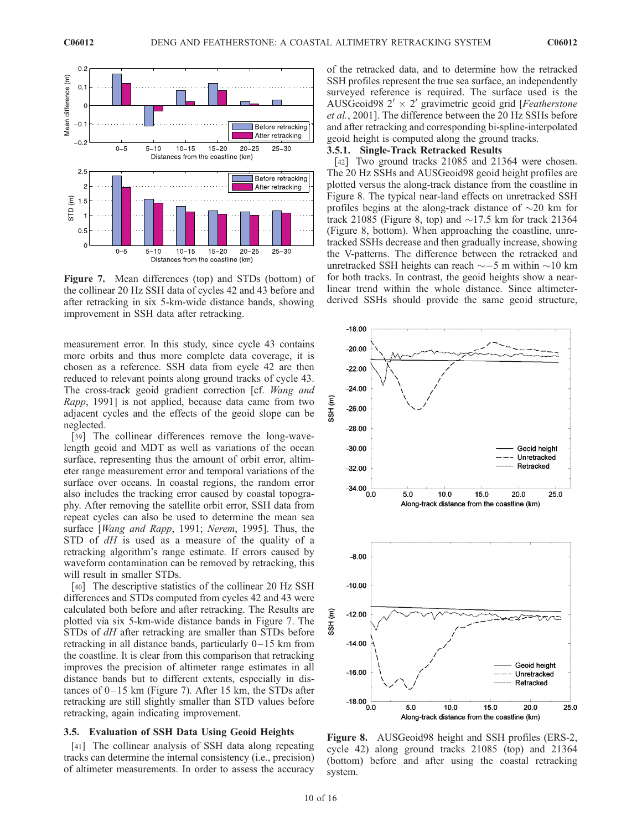

Figure 7. Mean differences (top) and STDs (bottom) of the collinear 20 Hz SSH data of cycles 42 and 43 before and after retracking in six 5-km-wide distance bands, showing improvement in SSH data after retracking.

measurement error. In this study, since cycle 43 contains more orbits and thus more complete data coverage, it is chosen as a reference. SSH data from cycle 42 are then reduced to relevant points along ground tracks of cycle 43. The cross-track geoid gradient correction [cf. Wang and Rapp, 1991] is not applied, because data came from two adjacent cycles and the effects of the geoid slope can be neglected.

[39] The collinear differences remove the long-wavelength geoid and MDT as well as variations of the ocean surface, representing thus the amount of orbit error, altimeter range measurement error and temporal variations of the surface over oceans. In coastal regions, the random error also includes the tracking error caused by coastal topography. After removing the satellite orbit error, SSH data from repeat cycles can also be used to determine the mean sea surface [Wang and Rapp, 1991; Nerem, 1995]. Thus, the STD of dH is used as a measure of the quality of a retracking algorithm's range estimate. If errors caused by waveform contamination can be removed by retracking, this will result in smaller STDs.

[40] The descriptive statistics of the collinear 20 Hz SSH differences and STDs computed from cycles 42 and 43 were calculated both before and after retracking. The Results are plotted via six 5-km-wide distance bands in Figure 7. The STDs of dH after retracking are smaller than STDs before retracking in all distance bands, particularly  $0-15$  km from the coastline. It is clear from this comparison that retracking improves the precision of altimeter range estimates in all distance bands but to different extents, especially in distances of  $0-15$  km (Figure 7). After 15 km, the STDs after retracking are still slightly smaller than STD values before retracking, again indicating improvement.

#### 3.5. Evaluation of SSH Data Using Geoid Heights

[41] The collinear analysis of SSH data along repeating tracks can determine the internal consistency (i.e., precision) of altimeter measurements. In order to assess the accuracy of the retracked data, and to determine how the retracked SSH profiles represent the true sea surface, an independently surveyed reference is required. The surface used is the AUSGeoid98  $2' \times 2'$  gravimetric geoid grid [Featherstone et al., 2001]. The difference between the 20 Hz SSHs before and after retracking and corresponding bi-spline-interpolated geoid height is computed along the ground tracks.

# 3.5.1. Single-Track Retracked Results

[42] Two ground tracks 21085 and 21364 were chosen. The 20 Hz SSHs and AUSGeoid98 geoid height profiles are plotted versus the along-track distance from the coastline in Figure 8. The typical near-land effects on unretracked SSH profiles begins at the along-track distance of  $\sim$ 20 km for track 21085 (Figure 8, top) and  $\sim$ 17.5 km for track 21364 (Figure 8, bottom). When approaching the coastline, unretracked SSHs decrease and then gradually increase, showing the V-patterns. The difference between the retracked and unretracked SSH heights can reach  $\sim$  -5 m within  $\sim$ 10 km for both tracks. In contrast, the geoid heights show a nearlinear trend within the whole distance. Since altimeterderived SSHs should provide the same geoid structure,



Figure 8. AUSGeoid98 height and SSH profiles (ERS-2, cycle 42) along ground tracks 21085 (top) and 21364 (bottom) before and after using the coastal retracking system.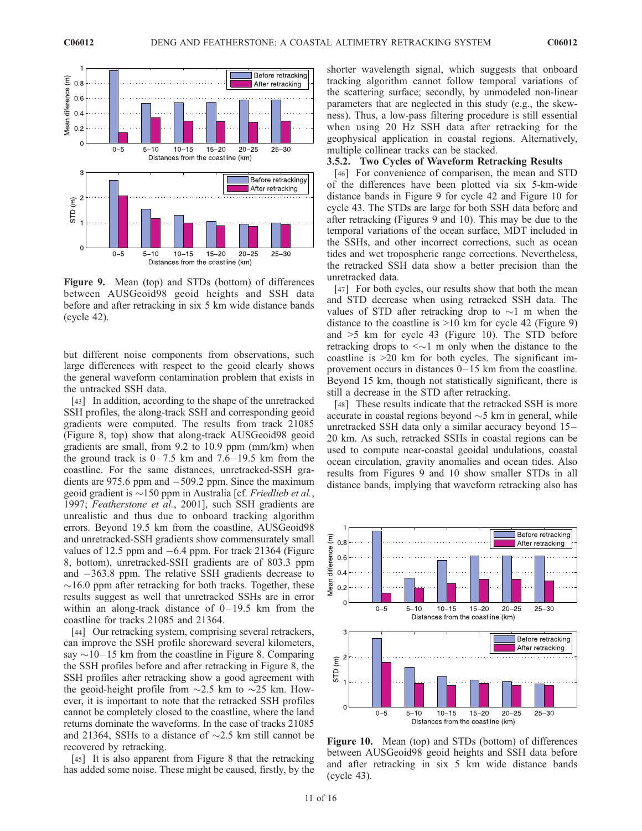

Figure 9. Mean (top) and STDs (bottom) of differences between AUSGeoid98 geoid heights and SSH data before and after retracking in six 5 km wide distance bands (cycle 42).

but different noise components from observations, such large differences with respect to the geoid clearly shows the general waveform contamination problem that exists in the untracked SSH data.

[43] In addition, according to the shape of the unretracked SSH profiles, the along-track SSH and corresponding geoid gradients were computed. The results from track 21085 (Figure 8, top) show that along-track AUSGeoid98 geoid gradients are small, from 9.2 to 10.9 ppm (mm/km) when the ground track is  $0-7.5$  km and  $7.6-19.5$  km from the coastline. For the same distances, unretracked-SSH gradients are  $975.6$  ppm and  $-509.2$  ppm. Since the maximum geoid gradient is  $\sim$ 150 ppm in Australia [cf. *Friedlieb et al.*, 1997; Featherstone et al., 2001], such SSH gradients are unrealistic and thus due to onboard tracking algorithm errors. Beyond 19.5 km from the coastline, AUSGeoid98 and unretracked-SSH gradients show commensurately small values of 12.5 ppm and  $-6.4$  ppm. For track 21364 (Figure 8, bottom), unretracked-SSH gradients are of 803.3 ppm and  $-363.8$  ppm. The relative SSH gradients decrease to  $\sim$ 16.0 ppm after retracking for both tracks. Together, these results suggest as well that unretracked SSHs are in error within an along-track distance of  $0-19.5$  km from the coastline for tracks 21085 and 21364.

[44] Our retracking system, comprising several retrackers, can improve the SSH profile shoreward several kilometers, say  $\sim$ 10–15 km from the coastline in Figure 8. Comparing the SSH profiles before and after retracking in Figure 8, the SSH profiles after retracking show a good agreement with the geoid-height profile from  $\sim$ 2.5 km to  $\sim$ 25 km. However, it is important to note that the retracked SSH profiles cannot be completely closed to the coastline, where the land returns dominate the waveforms. In the case of tracks 21085 and 21364, SSHs to a distance of  $\sim$ 2.5 km still cannot be recovered by retracking.

[45] It is also apparent from Figure 8 that the retracking has added some noise. These might be caused, firstly, by the

shorter wavelength signal, which suggests that onboard tracking algorithm cannot follow temporal variations of the scattering surface; secondly, by unmodeled non-linear parameters that are neglected in this study (e.g., the skewness). Thus, a low-pass filtering procedure is still essential when using 20 Hz SSH data after retracking for the geophysical application in coastal regions. Alternatively, multiple collinear tracks can be stacked.

# 3.5.2. Two Cycles of Waveform Retracking Results

[46] For convenience of comparison, the mean and STD of the differences have been plotted via six 5-km-wide distance bands in Figure 9 for cycle 42 and Figure 10 for cycle 43. The STDs are large for both SSH data before and after retracking (Figures 9 and 10). This may be due to the temporal variations of the ocean surface, MDT included in the SSHs, and other incorrect corrections, such as ocean tides and wet tropospheric range corrections. Nevertheless, the retracked SSH data show a better precision than the unretracked data.

[47] For both cycles, our results show that both the mean and STD decrease when using retracked SSH data. The values of STD after retracking drop to  $\sim$ 1 m when the distance to the coastline is >10 km for cycle 42 (Figure 9) and >5 km for cycle 43 (Figure 10). The STD before retracking drops to  $\leq \sim 1$  m only when the distance to the coastline is >20 km for both cycles. The significant improvement occurs in distances 0– 15 km from the coastline. Beyond 15 km, though not statistically significant, there is still a decrease in the STD after retracking.

[48] These results indicate that the retracked SSH is more accurate in coastal regions beyond  $\sim$ 5 km in general, while unretracked SSH data only a similar accuracy beyond 15– 20 km. As such, retracked SSHs in coastal regions can be used to compute near-coastal geoidal undulations, coastal ocean circulation, gravity anomalies and ocean tides. Also results from Figures 9 and 10 show smaller STDs in all distance bands, implying that waveform retracking also has



Figure 10. Mean (top) and STDs (bottom) of differences between AUSGeoid98 geoid heights and SSH data before and after retracking in six 5 km wide distance bands (cycle 43).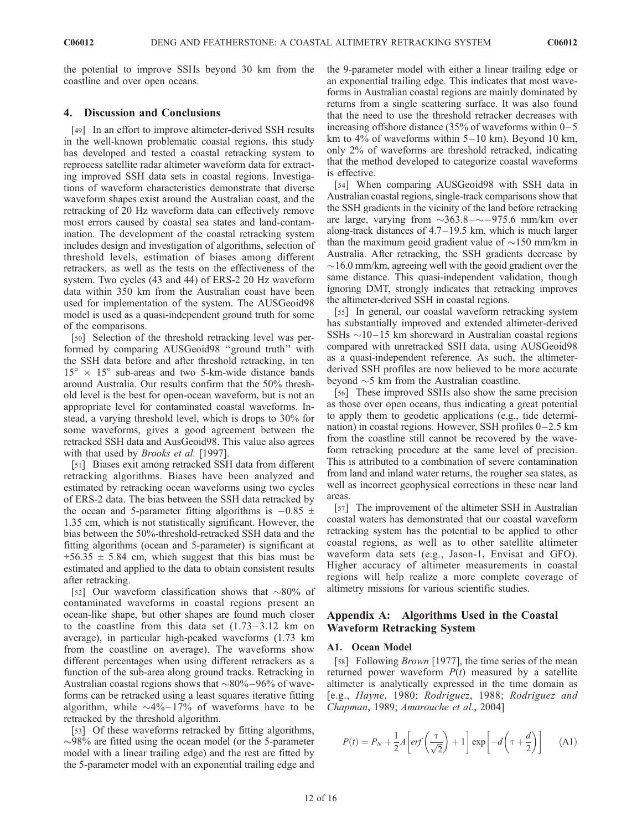the potential to improve SSHs beyond 30 km from the coastline and over open oceans.

# 4. Discussion and Conclusions

[49] In an effort to improve altimeter-derived SSH results in the well-known problematic coastal regions, this study has developed and tested a coastal retracking system to reprocess satellite radar altimeter waveform data for extracting improved SSH data sets in coastal regions. Investigations of waveform characteristics demonstrate that diverse waveform shapes exist around the Australian coast, and the retracking of 20 Hz waveform data can effectively remove most errors caused by coastal sea states and land-contamination. The development of the coastal retracking system includes design and investigation of algorithms, selection of threshold levels, estimation of biases among different retrackers, as well as the tests on the effectiveness of the system. Two cycles (43 and 44) of ERS-2 20 Hz waveform data within 350 km from the Australian coast have been used for implementation of the system. The AUSGeoid98 model is used as a quasi-independent ground truth for some of the comparisons.

[50] Selection of the threshold retracking level was performed by comparing AUSGeoid98 ''ground truth'' with the SSH data before and after threshold retracking, in ten  $15^{\circ} \times 15^{\circ}$  sub-areas and two 5-km-wide distance bands around Australia. Our results confirm that the 50% threshold level is the best for open-ocean waveform, but is not an appropriate level for contaminated coastal waveforms. Instead, a varying threshold level, which is drops to 30% for some waveforms, gives a good agreement between the retracked SSH data and AusGeoid98. This value also agrees with that used by *Brooks et al.* [1997].

[51] Biases exit among retracked SSH data from different retracking algorithms. Biases have been analyzed and estimated by retracking ocean waveforms using two cycles of ERS-2 data. The bias between the SSH data retracked by the ocean and 5-parameter fitting algorithms is  $-0.85 \pm 0.85$ 1.35 cm, which is not statistically significant. However, the bias between the 50%-threshold-retracked SSH data and the fitting algorithms (ocean and 5-parameter) is significant at  $+56.35 \pm 5.84$  cm, which suggest that this bias must be estimated and applied to the data to obtain consistent results after retracking.

[52] Our waveform classification shows that  $\sim 80\%$  of contaminated waveforms in coastal regions present an ocean-like shape, but other shapes are found much closer to the coastline from this data set  $(1.73-3.12 \text{ km})$  on average), in particular high-peaked waveforms (1.73 km from the coastline on average). The waveforms show different percentages when using different retrackers as a function of the sub-area along ground tracks. Retracking in Australian coastal regions shows that  $\sim 80\% - 96\%$  of waveforms can be retracked using a least squares iterative fitting algorithm, while  $\sim$ 4% – 17% of waveforms have to be retracked by the threshold algorithm.

[53] Of these waveforms retracked by fitting algorithms,  $\sim$ 98% are fitted using the ocean model (or the 5-parameter model with a linear trailing edge) and the rest are fitted by the 5-parameter model with an exponential trailing edge and the 9-parameter model with either a linear trailing edge or an exponential trailing edge. This indicates that most waveforms in Australian coastal regions are mainly dominated by returns from a single scattering surface. It was also found that the need to use the threshold retracker decreases with increasing offshore distance (35% of waveforms within  $0-5$ km to  $4\%$  of waveforms within  $5-10$  km). Beyond 10 km, only 2% of waveforms are threshold retracked, indicating that the method developed to categorize coastal waveforms is effective.

[54] When comparing AUSGeoid98 with SSH data in Australian coastal regions, single-track comparisons show that the SSH gradients in the vicinity of the land before retracking are large, varying from  $\sim$ 363.8 –  $\sim$  – 975.6 mm/km over along-track distances of 4.7–19.5 km, which is much larger than the maximum geoid gradient value of  $\sim$ 150 mm/km in Australia. After retracking, the SSH gradients decrease by  $\sim$ 16.0 mm/km, agreeing well with the geoid gradient over the same distance. This quasi-independent validation, though ignoring DMT, strongly indicates that retracking improves the altimeter-derived SSH in coastal regions.

[55] In general, our coastal waveform retracking system has substantially improved and extended altimeter-derived SSHs  $\sim$ 10–15 km shoreward in Australian coastal regions compared with unretracked SSH data, using AUSGeoid98 as a quasi-independent reference. As such, the altimeterderived SSH profiles are now believed to be more accurate beyond  $\sim$  5 km from the Australian coastline.

[56] These improved SSHs also show the same precision as those over open oceans, thus indicating a great potential to apply them to geodetic applications (e.g., tide determination) in coastal regions. However, SSH profiles  $0-2.5$  km from the coastline still cannot be recovered by the waveform retracking procedure at the same level of precision. This is attributed to a combination of severe contamination from land and inland water returns, the rougher sea states, as well as incorrect geophysical corrections in these near land areas.

[57] The improvement of the altimeter SSH in Australian coastal waters has demonstrated that our coastal waveform retracking system has the potential to be applied to other coastal regions, as well as to other satellite altimeter waveform data sets (e.g., Jason-1, Envisat and GFO). Higher accuracy of altimeter measurements in coastal regions will help realize a more complete coverage of altimetry missions for various scientific studies.

# Appendix A: Algorithms Used in the Coastal Waveform Retracking System

#### A1. Ocean Model

[58] Following *Brown* [1977], the time series of the mean returned power waveform  $P(t)$  measured by a satellite altimeter is analytically expressed in the time domain as [e.g., Hayne, 1980; Rodriguez, 1988; Rodriguez and Chapman, 1989; Amarouche et al., 2004]

$$
P(t) = P_N + \frac{1}{2}A \left[ erf\left(\frac{\tau}{\sqrt{2}}\right) + 1 \right] exp\left[ -d\left(\tau + \frac{d}{2}\right) \right]
$$
 (A1)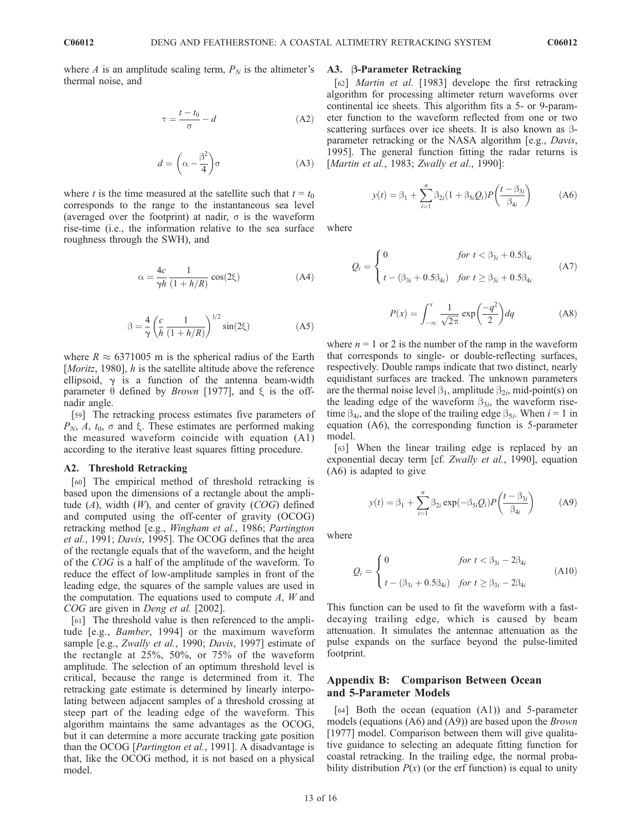where A is an amplitude scaling term,  $P_N$  is the altimeter's thermal noise, and

$$
\tau = \frac{t - t_0}{\sigma} - d \tag{A2}
$$

$$
d = \left(\alpha - \frac{\beta^2}{4}\right)\sigma\tag{A3}
$$

where t is the time measured at the satellite such that  $t = t_0$ corresponds to the range to the instantaneous sea level (averaged over the footprint) at nadir,  $\sigma$  is the waveform rise-time (i.e., the information relative to the sea surface roughness through the SWH), and

$$
\alpha = \frac{4c}{\gamma h} \frac{1}{(1 + h/R)} \cos(2\xi)
$$
 (A4)

$$
\beta = \frac{4}{\gamma} \left( \frac{c}{h} \frac{1}{(1 + h/R)} \right)^{1/2} \sin(2\xi)
$$
 (A5)

where  $R \approx 6371005$  m is the spherical radius of the Earth [*Moritz*, 1980], *h* is the satellite altitude above the reference ellipsoid,  $\gamma$  is a function of the antenna beam-width parameter  $\theta$  defined by *Brown* [1977], and  $\xi$  is the offnadir angle.

[59] The retracking process estimates five parameters of  $P_N$ , A,  $t_0$ ,  $\sigma$  and  $\xi$ . These estimates are performed making the measured waveform coincide with equation (A1) according to the iterative least squares fitting procedure.

#### A2. Threshold Retracking

[60] The empirical method of threshold retracking is based upon the dimensions of a rectangle about the amplitude  $(A)$ , width  $(W)$ , and center of gravity  $(COG)$  defined and computed using the off-center of gravity (OCOG) retracking method [e.g., Wingham et al., 1986; Partington et al., 1991; Davis, 1995]. The OCOG defines that the area of the rectangle equals that of the waveform, and the height of the COG is a half of the amplitude of the waveform. To reduce the effect of low-amplitude samples in front of the leading edge, the squares of the sample values are used in the computation. The equations used to compute  $A$ ,  $W$  and COG are given in Deng et al. [2002].

[61] The threshold value is then referenced to the amplitude [e.g., Bamber, 1994] or the maximum waveform sample [e.g., Zwally et al., 1990; Davis, 1997] estimate of the rectangle at 25%, 50%, or 75% of the waveform amplitude. The selection of an optimum threshold level is critical, because the range is determined from it. The retracking gate estimate is determined by linearly interpolating between adjacent samples of a threshold crossing at steep part of the leading edge of the waveform. This algorithm maintains the same advantages as the OCOG, but it can determine a more accurate tracking gate position than the OCOG [Partington et al., 1991]. A disadvantage is that, like the OCOG method, it is not based on a physical model.

## A3. B-Parameter Retracking

[62] *Martin et al.* [1983] develope the first retracking algorithm for processing altimeter return waveforms over continental ice sheets. This algorithm fits a 5- or 9-parameter function to the waveform reflected from one or two scattering surfaces over ice sheets. It is also known as  $\beta$ parameter retracking or the NASA algorithm [e.g., Davis, 1995]. The general function fitting the radar returns is [Martin et al., 1983; Zwally et al., 1990]:

$$
y(t) = \beta_1 + \sum_{i=1}^{n} \beta_{2i} (1 + \beta_{5i} Q_i) P\left(\frac{t - \beta_{3i}}{\beta_{4i}}\right)
$$
 (A6)

where

$$
Q_i = \begin{cases} 0 & \text{for } t < \beta_{3i} + 0.5\beta_{4i} \\ t - (\beta_{3i} + 0.5\beta_{4i}) & \text{for } t \ge \beta_{3i} + 0.5\beta_{4i} \end{cases}
$$
(A7)

$$
P(x) = \int_{-\infty}^{x} \frac{1}{\sqrt{2\pi}} \exp\left(\frac{-q^2}{2}\right) dq
$$
 (A8)

where  $n = 1$  or 2 is the number of the ramp in the waveform that corresponds to single- or double-reflecting surfaces, respectively. Double ramps indicate that two distinct, nearly equidistant surfaces are tracked. The unknown parameters are the thermal noise level  $\beta_1$ , amplitude  $\beta_{2i}$ , mid-point(s) on the leading edge of the waveform  $\beta_{3i}$ , the waveform risetime  $\beta_{4i}$ , and the slope of the trailing edge  $\beta_{5i}$ . When  $i = 1$  in equation (A6), the corresponding function is 5-parameter model.

[63] When the linear trailing edge is replaced by an exponential decay term [cf. Zwally et al., 1990], equation (A6) is adapted to give

$$
y(t) = \beta_1 + \sum_{i=1}^{n} \beta_{2i} \exp(-\beta_{5i} Q_i) P\left(\frac{t - \beta_{3i}}{\beta_{4i}}\right)
$$
 (A9)

where

$$
Q_i = \begin{cases} 0 & \text{for } t < \beta_{3i} - 2\beta_{4i} \\ t - (\beta_{3i} + 0.5\beta_{4i}) & \text{for } t \ge \beta_{3i} - 2\beta_{4i} \end{cases}
$$
(A10)

This function can be used to fit the waveform with a fastdecaying trailing edge, which is caused by beam attenuation. It simulates the antennae attenuation as the pulse expands on the surface beyond the pulse-limited footprint.

# Appendix B: Comparison Between Ocean and 5-Parameter Models

[64] Both the ocean (equation (A1)) and 5-parameter models (equations  $(A6)$  and  $(A9)$ ) are based upon the *Brown* [1977] model. Comparison between them will give qualitative guidance to selecting an adequate fitting function for coastal retracking. In the trailing edge, the normal probability distribution  $P(x)$  (or the erf function) is equal to unity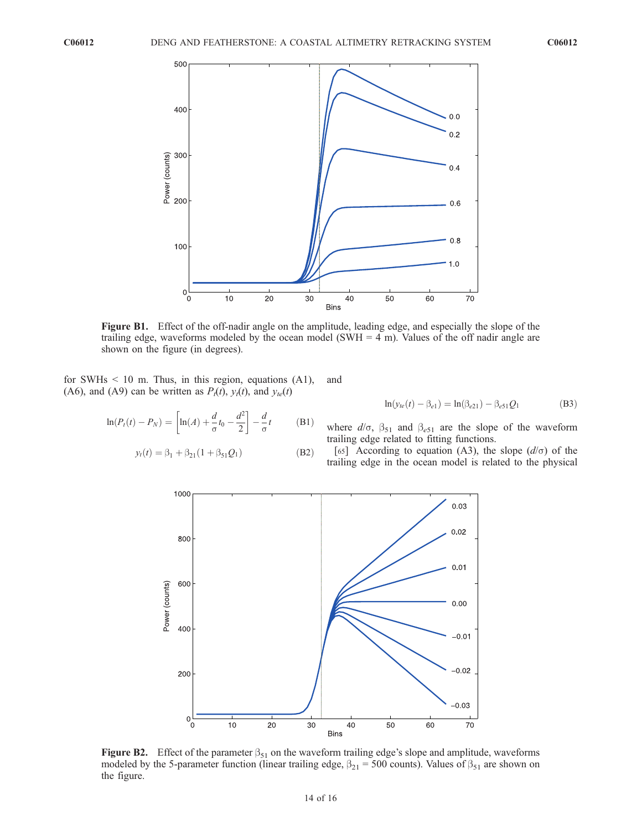

Figure B1. Effect of the off-nadir angle on the amplitude, leading edge, and especially the slope of the trailing edge, waveforms modeled by the ocean model (SWH  $=$  4 m). Values of the off nadir angle are shown on the figure (in degrees).

for SWHs < 10 m. Thus, in this region, equations (A1), (A6), and (A9) can be written as  $P_t(t)$ ,  $y_t(t)$ , and  $y_{te}(t)$ 

$$
\ln(P_t(t) - P_N) = \left[ \ln(A) + \frac{d}{\sigma} t_0 - \frac{d^2}{2} \right] - \frac{d}{\sigma} t \tag{B1}
$$

$$
y_t(t) = \beta_1 + \beta_{21}(1 + \beta_{51}Q_1)
$$
 (B2)

and

$$
\ln(y_{te}(t) - \beta_{e1}) = \ln(\beta_{e21}) - \beta_{e51}Q_1
$$
 (B3)

where  $d/\sigma$ ,  $\beta_{51}$  and  $\beta_{e51}$  are the slope of the waveform trailing edge related to fitting functions.

[65] According to equation (A3), the slope  $(d/\sigma)$  of the trailing edge in the ocean model is related to the physical



Figure B2. Effect of the parameter  $\beta_{51}$  on the waveform trailing edge's slope and amplitude, waveforms modeled by the 5-parameter function (linear trailing edge,  $\beta_{21} = 500$  counts). Values of  $\beta_{51}$  are shown on the figure.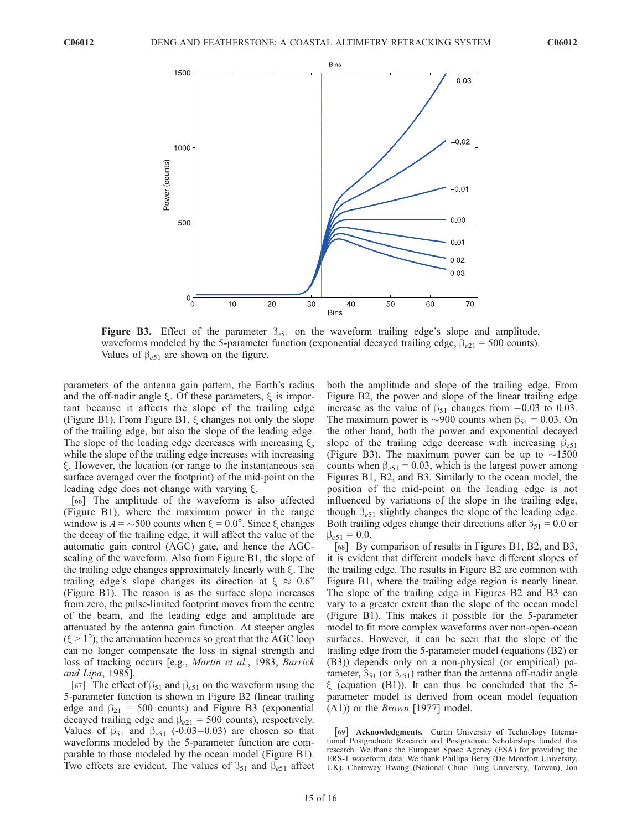

**Figure B3.** Effect of the parameter  $\beta_{e51}$  on the waveform trailing edge's slope and amplitude, waveforms modeled by the 5-parameter function (exponential decayed trailing edge,  $\beta_{e21} = 500$  counts). Values of  $\beta_{e51}$  are shown on the figure.

parameters of the antenna gain pattern, the Earth's radius and the off-nadir angle  $\xi$ . Of these parameters,  $\xi$  is important because it affects the slope of the trailing edge (Figure B1). From Figure B1,  $\xi$  changes not only the slope of the trailing edge, but also the slope of the leading edge. The slope of the leading edge decreases with increasing  $\xi$ , while the slope of the trailing edge increases with increasing x. However, the location (or range to the instantaneous sea surface averaged over the footprint) of the mid-point on the leading edge does not change with varying  $\xi$ .

[66] The amplitude of the waveform is also affected (Figure B1), where the maximum power in the range window is  $A = \sim 500$  counts when  $\xi = 0.0^{\circ}$ . Since  $\xi$  changes the decay of the trailing edge, it will affect the value of the automatic gain control (AGC) gate, and hence the AGCscaling of the waveform. Also from Figure B1, the slope of the trailing edge changes approximately linearly with  $\xi$ . The trailing edge's slope changes its direction at  $\xi \approx 0.6^{\circ}$ (Figure B1). The reason is as the surface slope increases from zero, the pulse-limited footprint moves from the centre of the beam, and the leading edge and amplitude are attenuated by the antenna gain function. At steeper angles  $(\xi > 1^{\circ})$ , the attenuation becomes so great that the AGC loop can no longer compensate the loss in signal strength and loss of tracking occurs [e.g., Martin et al., 1983; Barrick and Lipa, 1985].

[67] The effect of  $\beta_{51}$  and  $\beta_{e51}$  on the waveform using the 5-parameter function is shown in Figure B2 (linear trailing edge and  $\beta_{21}$  = 500 counts) and Figure B3 (exponential decayed trailing edge and  $\beta_{e21} = 500$  counts), respectively. Values of  $\beta_{51}$  and  $\beta_{e51}$  (-0.03 – 0.03) are chosen so that waveforms modeled by the 5-parameter function are comparable to those modeled by the ocean model (Figure B1). Two effects are evident. The values of  $\beta_{51}$  and  $\beta_{e51}$  affect both the amplitude and slope of the trailing edge. From Figure B2, the power and slope of the linear trailing edge increase as the value of  $\beta_{51}$  changes from  $-0.03$  to 0.03. The maximum power is  $\sim$ 900 counts when  $\beta_{51} = 0.03$ . On the other hand, both the power and exponential decayed slope of the trailing edge decrease with increasing  $\beta_{e51}$ (Figure B3). The maximum power can be up to  $\sim$ 1500 counts when  $\beta_{e51} = 0.03$ , which is the largest power among Figures B1, B2, and B3. Similarly to the ocean model, the position of the mid-point on the leading edge is not influenced by variations of the slope in the trailing edge, though  $\beta_{e51}$  slightly changes the slope of the leading edge. Both trailing edges change their directions after  $\beta_{51} = 0.0$  or  $\beta_{e51} = 0.0.$ 

[68] By comparison of results in Figures B1, B2, and B3, it is evident that different models have different slopes of the trailing edge. The results in Figure B2 are common with Figure B1, where the trailing edge region is nearly linear. The slope of the trailing edge in Figures B2 and B3 can vary to a greater extent than the slope of the ocean model (Figure B1). This makes it possible for the 5-parameter model to fit more complex waveforms over non-open-ocean surfaces. However, it can be seen that the slope of the trailing edge from the 5-parameter model (equations (B2) or (B3)) depends only on a non-physical (or empirical) parameter,  $\beta_{51}$  (or  $\beta_{e51}$ ) rather than the antenna off-nadir angle  $\xi$  (equation (B1)). It can thus be concluded that the 5parameter model is derived from ocean model (equation (A1)) or the Brown [1977] model.

[69] Acknowledgments. Curtin University of Technology International Postgraduate Research and Postgraduate Scholarships funded this research. We thank the European Space Agency (ESA) for providing the ERS-1 waveform data. We thank Phillipa Berry (De Montfort University, UK), Cheinway Hwang (National Chiao Tung University, Taiwan), Jon